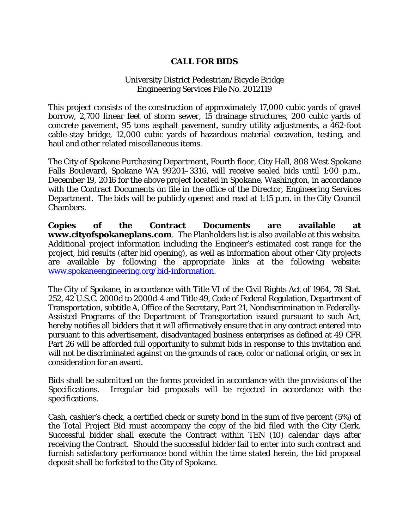## **CALL FOR BIDS**

## University District Pedestrian/Bicycle Bridge Engineering Services File No. 2012119

This project consists of the construction of approximately 17,000 cubic yards of gravel borrow, 2,700 linear feet of storm sewer, 15 drainage structures, 200 cubic yards of concrete pavement, 95 tons asphalt pavement, sundry utility adjustments, a 462-foot cable-stay bridge, 12,000 cubic yards of hazardous material excavation, testing, and haul and other related miscellaneous items.

The City of Spokane Purchasing Department, Fourth floor, City Hall, 808 West Spokane Falls Boulevard, Spokane WA 99201–3316, will receive sealed bids until 1:00 p.m., December 19, 2016 for the above project located in Spokane, Washington, in accordance with the Contract Documents on file in the office of the Director, Engineering Services Department. The bids will be publicly opened and read at 1:15 p.m. in the City Council Chambers.

**Copies of the Contract Documents are available at www.cityofspokaneplans.com**. The Planholders list is also available at this website. Additional project information including the Engineer's estimated cost range for the project, bid results (after bid opening), as well as information about other City projects are available by following the appropriate links at the following website: [www.spokaneengineering.org/bid-information.](http://www.spokaneengineering.org/bid-information)

The City of Spokane, in accordance with Title VI of the Civil Rights Act of 1964, 78 Stat. 252, 42 U.S.C. 2000d to 2000d-4 and Title 49, Code of Federal Regulation, Department of Transportation, subtitle A, Office of the Secretary, Part 21, Nondiscrimination in Federally-Assisted Programs of the Department of Transportation issued pursuant to such Act, hereby notifies all bidders that it will affirmatively ensure that in any contract entered into pursuant to this advertisement, disadvantaged business enterprises as defined at 49 CFR Part 26 will be afforded full opportunity to submit bids in response to this invitation and will not be discriminated against on the grounds of race, color or national origin, or sex in consideration for an award.

Bids shall be submitted on the forms provided in accordance with the provisions of the Specifications. Irregular bid proposals will be rejected in accordance with the specifications.

Cash, cashier's check, a certified check or surety bond in the sum of five percent (5%) of the Total Project Bid must accompany the copy of the bid filed with the City Clerk. Successful bidder shall execute the Contract within TEN (10) calendar days after receiving the Contract. Should the successful bidder fail to enter into such contract and furnish satisfactory performance bond within the time stated herein, the bid proposal deposit shall be forfeited to the City of Spokane.